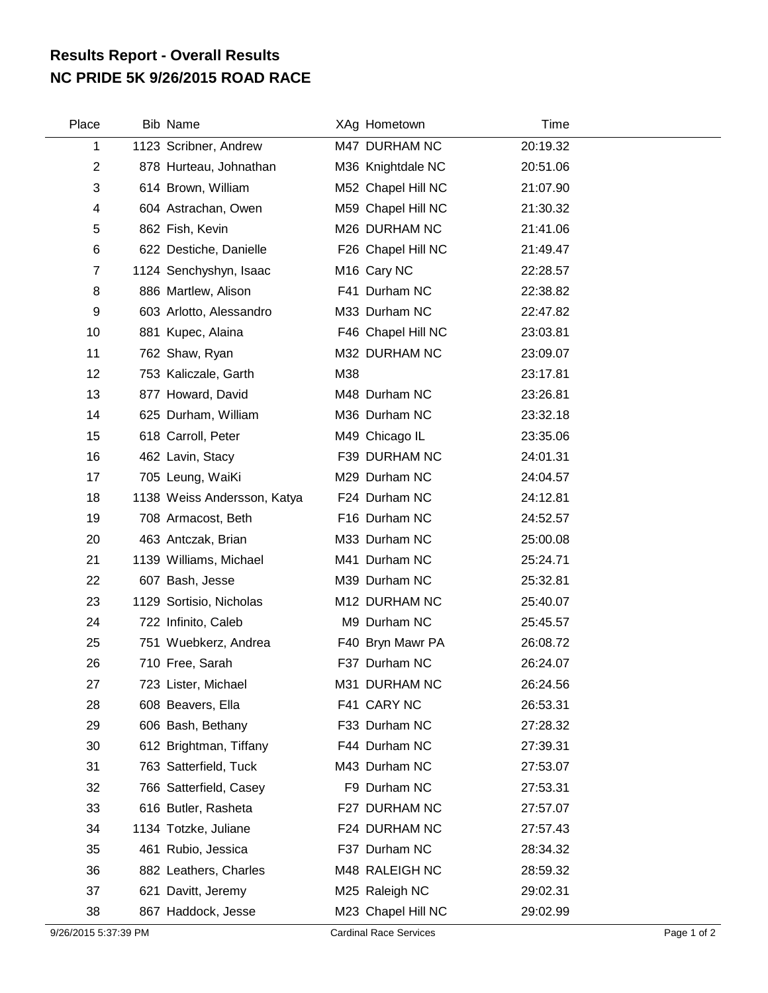## **NC PRIDE 5K 9/26/2015 ROAD RACE Results Report - Overall Results**

| Place          | Bib Name                    |     | XAg Hometown            | Time     |  |
|----------------|-----------------------------|-----|-------------------------|----------|--|
| 1              | 1123 Scribner, Andrew       |     | M47 DURHAM NC           | 20:19.32 |  |
| $\overline{c}$ | 878 Hurteau, Johnathan      |     | M36 Knightdale NC       | 20:51.06 |  |
| 3              | 614 Brown, William          |     | M52 Chapel Hill NC      | 21:07.90 |  |
| 4              | 604 Astrachan, Owen         |     | M59 Chapel Hill NC      | 21:30.32 |  |
| 5              | 862 Fish, Kevin             |     | M26 DURHAM NC           | 21:41.06 |  |
| 6              | 622 Destiche, Danielle      |     | F26 Chapel Hill NC      | 21:49.47 |  |
| $\overline{7}$ | 1124 Senchyshyn, Isaac      |     | M <sub>16</sub> Cary NC | 22:28.57 |  |
| 8              | 886 Martlew, Alison         |     | F41 Durham NC           | 22:38.82 |  |
| 9              | 603 Arlotto, Alessandro     |     | M33 Durham NC           | 22:47.82 |  |
| 10             | 881 Kupec, Alaina           |     | F46 Chapel Hill NC      | 23:03.81 |  |
| 11             | 762 Shaw, Ryan              |     | M32 DURHAM NC           | 23:09.07 |  |
| 12             | 753 Kaliczale, Garth        | M38 |                         | 23:17.81 |  |
| 13             | 877 Howard, David           |     | M48 Durham NC           | 23:26.81 |  |
| 14             | 625 Durham, William         |     | M36 Durham NC           | 23:32.18 |  |
| 15             | 618 Carroll, Peter          |     | M49 Chicago IL          | 23:35.06 |  |
| 16             | 462 Lavin, Stacy            |     | F39 DURHAM NC           | 24:01.31 |  |
| 17             | 705 Leung, WaiKi            |     | M29 Durham NC           | 24:04.57 |  |
| 18             | 1138 Weiss Andersson, Katya |     | F24 Durham NC           | 24:12.81 |  |
| 19             | 708 Armacost, Beth          |     | F16 Durham NC           | 24:52.57 |  |
| 20             | 463 Antczak, Brian          |     | M33 Durham NC           | 25:00.08 |  |
| 21             | 1139 Williams, Michael      |     | M41 Durham NC           | 25:24.71 |  |
| 22             | 607 Bash, Jesse             |     | M39 Durham NC           | 25:32.81 |  |
| 23             | 1129 Sortisio, Nicholas     |     | M12 DURHAM NC           | 25:40.07 |  |
| 24             | 722 Infinito, Caleb         |     | M9 Durham NC            | 25:45.57 |  |
| 25             | 751 Wuebkerz, Andrea        |     | F40 Bryn Mawr PA        | 26:08.72 |  |
| 26             | 710 Free, Sarah             |     | F37 Durham NC           | 26:24.07 |  |
| 27             | 723 Lister, Michael         |     | M31 DURHAM NC           | 26:24.56 |  |
| 28             | 608 Beavers, Ella           |     | F41 CARY NC             | 26:53.31 |  |
| 29             | 606 Bash, Bethany           |     | F33 Durham NC           | 27:28.32 |  |
| 30             | 612 Brightman, Tiffany      |     | F44 Durham NC           | 27:39.31 |  |
| 31             | 763 Satterfield, Tuck       |     | M43 Durham NC           | 27:53.07 |  |
| 32             | 766 Satterfield, Casey      |     | F9 Durham NC            | 27:53.31 |  |
| 33             | 616 Butler, Rasheta         |     | F27 DURHAM NC           | 27:57.07 |  |
| 34             | 1134 Totzke, Juliane        |     | F24 DURHAM NC           | 27:57.43 |  |
| 35             | 461 Rubio, Jessica          |     | F37 Durham NC           | 28:34.32 |  |
| 36             | 882 Leathers, Charles       |     | M48 RALEIGH NC          | 28:59.32 |  |
| 37             | 621 Davitt, Jeremy          |     | M25 Raleigh NC          | 29:02.31 |  |
| 38             | 867 Haddock, Jesse          |     | M23 Chapel Hill NC      | 29:02.99 |  |